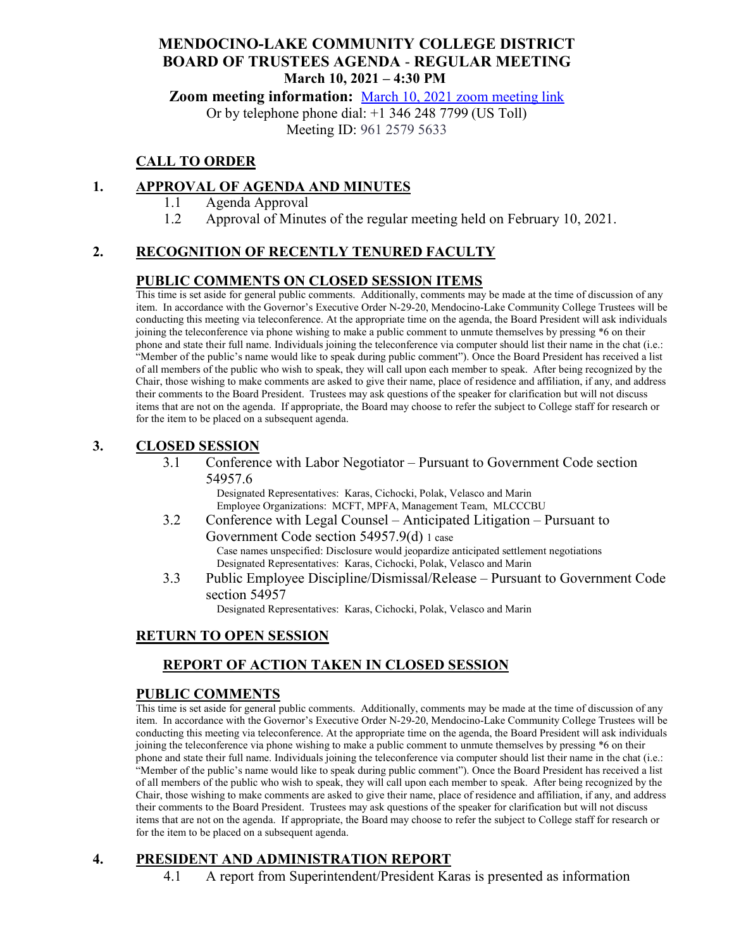# **MENDOCINO-LAKE COMMUNITY COLLEGE DISTRICT BOARD OF TRUSTEES AGENDA** - **REGULAR MEETING March 10, 2021 – 4:30 PM**

**Zoom meeting information:** March 10, 2021 [zoom meeting link](https://cccconfer.zoom.us/s/96125795633)

Or by telephone phone dial: +1 346 248 7799 (US Toll)

Meeting ID: 961 2579 5633

# **CALL TO ORDER**

# **1. APPROVAL OF AGENDA AND MINUTES**

- 1.1 Agenda Approval
- 1.2 Approval of Minutes of the regular meeting held on February 10, 2021.

# **2. RECOGNITION OF RECENTLY TENURED FACULTY**

## **PUBLIC COMMENTS ON CLOSED SESSION ITEMS**

This time is set aside for general public comments. Additionally, comments may be made at the time of discussion of any item. In accordance with the Governor's Executive Order N-29-20, Mendocino-Lake Community College Trustees will be conducting this meeting via teleconference. At the appropriate time on the agenda, the Board President will ask individuals joining the teleconference via phone wishing to make a public comment to unmute themselves by pressing \*6 on their phone and state their full name. Individuals joining the teleconference via computer should list their name in the chat (i.e.: "Member of the public's name would like to speak during public comment"). Once the Board President has received a list of all members of the public who wish to speak, they will call upon each member to speak. After being recognized by the Chair, those wishing to make comments are asked to give their name, place of residence and affiliation, if any, and address their comments to the Board President. Trustees may ask questions of the speaker for clarification but will not discuss items that are not on the agenda. If appropriate, the Board may choose to refer the subject to College staff for research or for the item to be placed on a subsequent agenda.

## **3. CLOSED SESSION**

3.1 Conference with Labor Negotiator – Pursuant to Government Code section 54957.6

Designated Representatives: Karas, Cichocki, Polak, Velasco and Marin Employee Organizations: MCFT, MPFA, Management Team, MLCCCBU

- 3.2 Conference with Legal Counsel Anticipated Litigation Pursuant to Government Code section 54957.9(d) 1 case Case names unspecified: Disclosure would jeopardize anticipated settlement negotiations Designated Representatives: Karas, Cichocki, Polak, Velasco and Marin
- 3.3 Public Employee Discipline/Dismissal/Release Pursuant to Government Code section 54957

Designated Representatives: Karas, Cichocki, Polak, Velasco and Marin

# **RETURN TO OPEN SESSION**

# **REPORT OF ACTION TAKEN IN CLOSED SESSION**

#### **PUBLIC COMMENTS**

This time is set aside for general public comments. Additionally, comments may be made at the time of discussion of any item. In accordance with the Governor's Executive Order N-29-20, Mendocino-Lake Community College Trustees will be conducting this meeting via teleconference. At the appropriate time on the agenda, the Board President will ask individuals joining the teleconference via phone wishing to make a public comment to unmute themselves by pressing \*6 on their phone and state their full name. Individuals joining the teleconference via computer should list their name in the chat (i.e.: "Member of the public's name would like to speak during public comment"). Once the Board President has received a list of all members of the public who wish to speak, they will call upon each member to speak. After being recognized by the Chair, those wishing to make comments are asked to give their name, place of residence and affiliation, if any, and address their comments to the Board President. Trustees may ask questions of the speaker for clarification but will not discuss items that are not on the agenda. If appropriate, the Board may choose to refer the subject to College staff for research or for the item to be placed on a subsequent agenda.

## **4. PRESIDENT AND ADMINISTRATION REPORT**

4.1 A report from Superintendent/President Karas is presented as information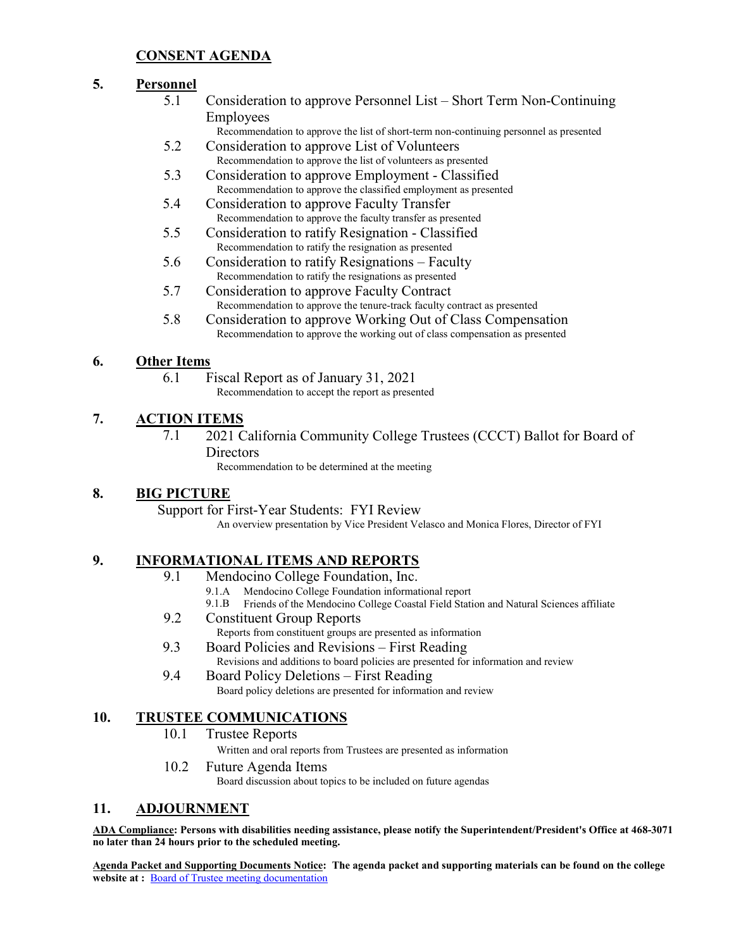## **CONSENT AGENDA**

#### **5. Personnel**

- 5.1 Consideration to approve Personnel List Short Term Non-Continuing Employees
	- Recommendation to approve the list of short-term non-continuing personnel as presented
- 5.2 Consideration to approve List of Volunteers Recommendation to approve the list of volunteers as presented
- 5.3 Consideration to approve Employment Classified Recommendation to approve the classified employment as presented
- 5.4 Consideration to approve Faculty Transfer Recommendation to approve the faculty transfer as presented
- 5.5 Consideration to ratify Resignation Classified Recommendation to ratify the resignation as presented
- 5.6 Consideration to ratify Resignations Faculty Recommendation to ratify the resignations as presented
- 5.7 Consideration to approve Faculty Contract Recommendation to approve the tenure-track faculty contract as presented
- 5.8 Consideration to approve Working Out of Class Compensation Recommendation to approve the working out of class compensation as presented

#### **6. Other Items**

6.1 Fiscal Report as of January 31, 2021 Recommendation to accept the report as presented

## **7. ACTION ITEMS**

7.1 2021 California Community College Trustees (CCCT) Ballot for Board of **Directors** 

Recommendation to be determined at the meeting

#### **8. BIG PICTURE**

Support for First-Year Students: FYI Review

An overview presentation by Vice President Velasco and Monica Flores, Director of FYI

#### **9. INFORMATIONAL ITEMS AND REPORTS**

- 9.1 Mendocino College Foundation, Inc.
	- 9.1.A Mendocino College Foundation informational report
	- 9.1.B Friends of the Mendocino College Coastal Field Station and Natural Sciences affiliate
- 9.2 Constituent Group Reports
	- Reports from constituent groups are presented as information
- 9.3 Board Policies and Revisions First Reading
	- Revisions and additions to board policies are presented for information and review
- 9.4 Board Policy Deletions First Reading Board policy deletions are presented for information and review

## **10. TRUSTEE COMMUNICATIONS**

10.1 Trustee Reports

Written and oral reports from Trustees are presented as information

10.2 Future Agenda Items

Board discussion about topics to be included on future agendas

#### **11. ADJOURNMENT**

**ADA Compliance: Persons with disabilities needing assistance, please notify the Superintendent/President's Office at 468-3071 no later than 24 hours prior to the scheduled meeting.** 

**Agenda Packet and Supporting Documents Notice: The agenda packet and supporting materials can be found on the college website at :** [Board of Trustee meeting documentation](https://www.mendocino.edu/botagendas)